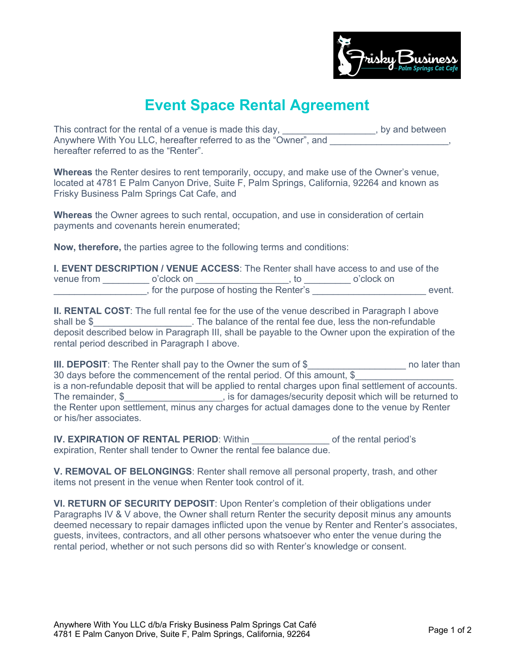

## **Event Space Rental Agreement**

This contract for the rental of a venue is made this day, \_\_\_\_\_\_\_\_\_\_\_\_\_\_\_\_\_, by and between Anywhere With You LLC, hereafter referred to as the "Owner", and hereafter referred to as the "Renter".

**Whereas** the Renter desires to rent temporarily, occupy, and make use of the Owner's venue, located at 4781 E Palm Canyon Drive, Suite F, Palm Springs, California, 92264 and known as Frisky Business Palm Springs Cat Cafe, and

**Whereas** the Owner agrees to such rental, occupation, and use in consideration of certain payments and covenants herein enumerated;

**Now, therefore,** the parties agree to the following terms and conditions:

| <b>I. EVENT DESCRIPTION / VENUE ACCESS:</b> The Renter shall have access to and use of the |            |  |            |
|--------------------------------------------------------------------------------------------|------------|--|------------|
| venue from                                                                                 | o'clock on |  | o'clock on |
| , for the purpose of hosting the Renter's                                                  |            |  | event.     |

**II. RENTAL COST:** The full rental fee for the use of the venue described in Paragraph I above shall be \$\_\_\_\_\_\_\_\_\_\_\_\_\_\_\_\_\_\_\_\_\_. The balance of the rental fee due, less the non-refundable deposit described below in Paragraph III, shall be payable to the Owner upon the expiration of the rental period described in Paragraph I above.

**III. DEPOSIT**: The Renter shall pay to the Owner the sum of \$\_\_\_\_\_\_\_\_\_\_\_\_\_\_\_\_\_\_\_\_\_\_\_ no later than 30 days before the commencement of the rental period. Of this amount, \$ is a non-refundable deposit that will be applied to rental charges upon final settlement of accounts. The remainder, \$ the Renter upon settlement, minus any charges for actual damages done to the venue by Renter or his/her associates.

**IV. EXPIRATION OF RENTAL PERIOD**: Within \_\_\_\_\_\_\_\_\_\_\_\_\_\_\_ of the rental period's expiration, Renter shall tender to Owner the rental fee balance due.

**V. REMOVAL OF BELONGINGS**: Renter shall remove all personal property, trash, and other items not present in the venue when Renter took control of it.

**VI. RETURN OF SECURITY DEPOSIT**: Upon Renter's completion of their obligations under Paragraphs IV & V above, the Owner shall return Renter the security deposit minus any amounts deemed necessary to repair damages inflicted upon the venue by Renter and Renter's associates, guests, invitees, contractors, and all other persons whatsoever who enter the venue during the rental period, whether or not such persons did so with Renter's knowledge or consent.